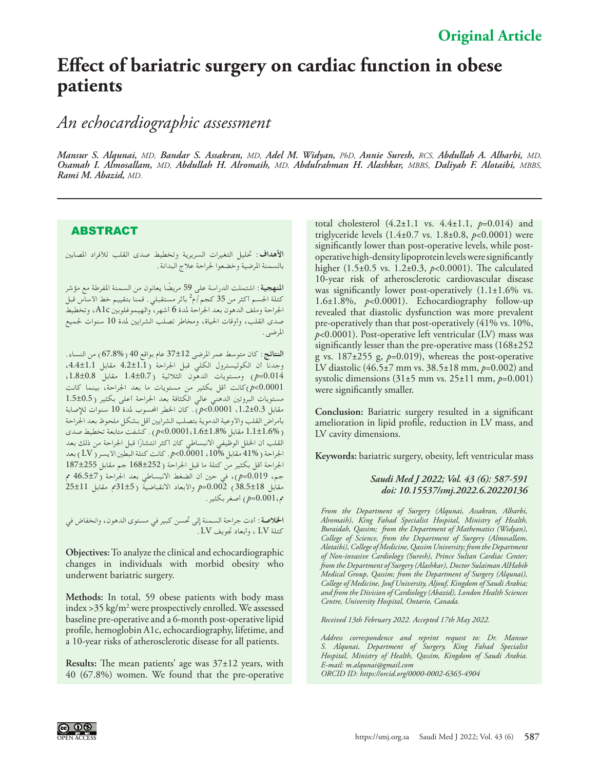## **Effect of bariatric surgery on cardiac function in obese patients**

*An echocardiographic assessment*

*Mansur S. Alqunai, MD, Bandar S. Assakran, MD, Adel M. Widyan, PhD, Annie Suresh, RCS, Abdullah A. Alharbi, MD, Osamah I. Almosallam, MD, Abdullah H. Alromaih, MD, Abdulrahman H. Alashkar, MBBS*, *Daliyah F. Alotaibi, MBBS, Rami M. Abazid, MD.*

## ABSTRACT

**األهداف:** حتليل التغيرات السريرية وتخطيط صدى القلب لألفراد املصابني بالسمنة املرضية وخضعوا جلراحة عالج البدانة.

**املنهجية:** اشتملت الدراسة على 59 ً مريضا يعانون من السمنة املفرطة مع مؤشر كتلة الجسم أكثر من 35 كجم/م<sup>2</sup> بأثر مستقبلي . قمنا بتقييم خط الأساس قبل اجلراحة وملف الدهون بعد اجلراحة ملدة 6 أشهر، والهيموغلوبني c1A، وتخطيط صدى القلب، وأوقات احلياة، ومخاطر تصلب الشرايني ملدة 10 سنوات جلميع املرضى.

**النتائج:** كان متوسط عمر املرضى 37±12 عام بواقع 40 )67.8%( من النساء. وجدنا أن الكوليسترول الكلي قبل الجراحة (4.2±1.1 مقابل 4.4±4.1)، 0.014=*p* )ومستويات الدهون الثالثية )1.4±0.7 مقابل ،1.8±0.8 0.0001>*p*)كانت أقل بكثير من مستويات ما بعد اجلراحة، بينما كانت مستويات البروتني الدهني عالي الكثافة بعد اجلراحة أعلى بكثير )1.5±0.5 مقابل ،1.2±0.3 0.0001>*p*). كان اخلطر احملسوب ملدة 10 سنوات لإلصابة بأمراض القلب والأوعية الدموية بتصلب الشرايين أقل بشكل ملحوظ بعد الجراحة )1.1±1.6% مقابل 0.0001،1.6±1.8%>*p*). كشفت متابعة تخطيط صدى ًا قبل اجلراحة من ذلك بعد القلب أن اخللل الوظيفي االنبساطي كان أكثر انتشار اجلراحة )41% مقابل ،10% 0.0001>*p*. كانت كتلة البطني األيسر )LV )بعد اجلراحة أقل بكثير من كتلة ما قبل اجلراحة )168±252 جم مقابل 187±255 جم، 0.019=*p*)، في حني أن الضغط االنبساطي بعد اجلراحة )46.5±7 مم مقابل 38.5±18( 0.002=*p* واألبعاد االنقباضية )31±5مم مقابل 25±11 مم0.001،=*p* )أصغر بكثير.

**اخلالصة:** أدت جراحة السمنة إلى حتسن كبير في مستوى الدهون، وانخفاض في كتلة LV ، وأبعاد جتويف LV.

**Objectives:** To analyze the clinical and echocardiographic changes in individuals with morbid obesity who underwent bariatric surgery.

**Methods:** In total, 59 obese patients with body mass index >35 kg/m2 were prospectively enrolled. We assessed baseline pre-operative and a 6-month post-operative lipid profile, hemoglobin A1c, echocardiography, lifetime, and a 10-year risks of atherosclerotic disease for all patients.

**Results:** The mean patients' age was 37±12 years, with 40 (67.8%) women. We found that the pre-operative

total cholesterol (4.2±1.1 vs. 4.4±1.1, *p*=0.014) and triglyceride levels (1.4±0.7 vs. 1.8±0.8, *p*<0.0001) were significantly lower than post-operative levels, while postoperative high-density lipoprotein levels were significantly higher (1.5±0.5 vs. 1.2±0.3, *p*<0.0001). The calculated 10-year risk of atherosclerotic cardiovascular disease was significantly lower post-operatively  $(1.1\pm1.6\%$  vs. 1.6±1.8%, *p*<0.0001). Echocardiography follow-up revealed that diastolic dysfunction was more prevalent pre-operatively than that post-operatively (41% vs. 10%, *p*<0.0001). Post-operative left ventricular (LV) mass was significantly lesser than the pre-operative mass (168±252 g vs.  $187\pm255$  g,  $p=0.019$ ), whereas the post-operative LV diastolic (46.5±7 mm vs. 38.5±18 mm, *p*=0.002) and systolic dimensions (31±5 mm vs. 25±11 mm, *p*=0.001) were significantly smaller.

**Conclusion:** Bariatric surgery resulted in a significant amelioration in lipid profile, reduction in LV mass, and LV cavity dimensions.

**Keywords:** bariatric surgery, obesity, left ventricular mass

## *Saudi Med J 2022; Vol. 43 (6): 587-591 doi: 10.15537/smj.2022.6.20220136*

*From the Department of Surgery (Alqunai, Assakran, Alharbi, Alromaih), King Fahad Specialist Hospital, Ministry of Health, Buraidah, Qassim; from the Department of Mathematics (Widyan), College of Science, from the Department of Surgery (Almosallam, Alotaibi), College of Medicine, Qassim University; from the Department of Non-invasive Cardiology (Suresh), Prince Sultan Cardiac Center; from the Department of Surgery (Alashkar), Doctor Sulaiman AlHabib Medical Group, Qassim; from the Department of Surgery (Alqunai), College of Medicine, Jouf University, Aljouf, Kingdom of Saudi Arabia; and from the Division of Cardiology (Abazid), London Health Sciences Centre, University Hospital, Ontario, Canada.*

*Received 13th February 2022. Accepted 17th May 2022.*

*Address correspondence and reprint request to: Dr. Mansur S. Alqunai, Department of Surgery, King Fahad Specialist Hospital, Ministry of Health, Qassim, Kingdom of Saudi Arabia. E-mail: m.alqunai@gmail.com ORCID ID: https://orcid.org/0000-0002-6365-4904*

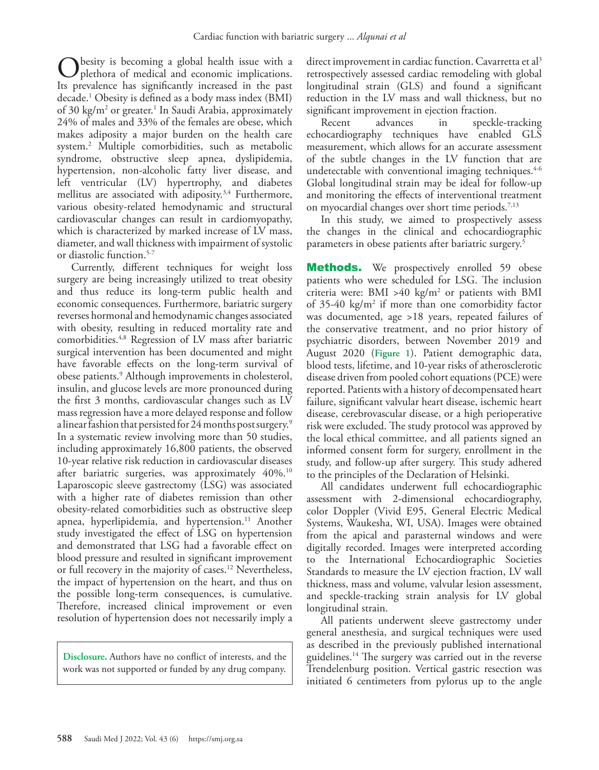besity is becoming a global health issue with a plethora of medical and economic implications. Its prevalence has significantly increased in the past decade[.1](#page-4-0) Obesity is defined as a body mass index (BMI) of 30 kg/m² or greater.<sup>1</sup> In Saudi Arabia, approximately 24% of males and 33% of the females are obese, which makes adiposity a major burden on the health care system.[2](#page-4-1) Multiple comorbidities, such as metabolic syndrome, obstructive sleep apnea, dyslipidemia, hypertension, non-alcoholic fatty liver disease, and left ventricular (LV) hypertrophy, and diabetes mellitus are associated with adiposity.<sup>3,[4](#page-4-3)</sup> Furthermore, various obesity-related hemodynamic and structural cardiovascular changes can result in cardiomyopathy, which is characterized by marked increase of LV mass, diameter, and wall thickness with impairment of systolic or diastolic function.<sup>5-[7](#page-4-5)</sup>

Currently, different techniques for weight loss surgery are being increasingly utilized to treat obesity and thus reduce its long-term public health and economic consequences. Furthermore, bariatric surgery reverses hormonal and hemodynamic changes associated with obesity, resulting in reduced mortality rate and comorbidities.[4,](#page-4-3)[8](#page-4-6) Regression of LV mass after bariatric surgical intervention has been documented and might have favorable effects on the long-term survival of obese patients.[9](#page-4-7) Although improvements in cholesterol, insulin, and glucose levels are more pronounced during the first 3 months, cardiovascular changes such as LV mass regression have a more delayed response and follow a linear fashion that persisted for 24 months post surgery[.9](#page-4-7) In a systematic review involving more than 50 studies, including approximately 16,800 patients, the observed 10-year relative risk reduction in cardiovascular diseases after bariatric surgeries, was approximately 40%.<sup>10</sup> Laparoscopic sleeve gastrectomy (LSG) was associated with a higher rate of diabetes remission than other obesity-related comorbidities such as obstructive sleep apnea, hyperlipidemia, and hypertension.<sup>[11](#page-4-9)</sup> Another study investigated the effect of LSG on hypertension and demonstrated that LSG had a favorable effect on blood pressure and resulted in significant improvement or full recovery in the majority of cases[.12](#page-4-10) Nevertheless, the impact of hypertension on the heart, and thus on the possible long-term consequences, is cumulative. Therefore, increased clinical improvement or even resolution of hypertension does not necessarily imply a

**Disclosure.** Authors have no conflict of interests, and the work was not supported or funded by any drug company.

direct improvement in cardiac function. Cavarretta et al<sup>3</sup> retrospectively assessed cardiac remodeling with global longitudinal strain (GLS) and found a significant reduction in the LV mass and wall thickness, but no significant improvement in ejection fraction.

Recent advances in speckle-tracking echocardiography techniques have enabled GLS measurement, which allows for an accurate assessment of the subtle changes in the LV function that are undetectable with conventional imaging techniques.  $4-6$  $4-6$ Global longitudinal strain may be ideal for follow-up and monitoring the effects of interventional treatment on myocardial changes over short time periods.<sup>[7](#page-4-5)[,13](#page-4-12)</sup>

In this study, we aimed to prospectively assess the changes in the clinical and echocardiographic parameters in obese patients after bariatric surgery[.5](#page-4-4)

**Methods.** We prospectively enrolled 59 obese patients who were scheduled for LSG. The inclusion criteria were:  $BMI > 40 \text{ kg/m}^2$  or patients with BMI of  $35-40 \text{ kg/m}^2$  if more than one comorbidity factor was documented, age >18 years, repeated failures of the conservative treatment, and no prior history of psychiatric disorders, between November 2019 and August 2020 (**Figure 1**). Patient demographic data, blood tests, lifetime, and 10-year risks of atherosclerotic disease driven from pooled cohort equations (PCE) were reported. Patients with a history of decompensated heart failure, significant valvular heart disease, ischemic heart disease, cerebrovascular disease, or a high perioperative risk were excluded. The study protocol was approved by the local ethical committee, and all patients signed an informed consent form for surgery, enrollment in the study, and follow-up after surgery. This study adhered to the principles of the Declaration of Helsinki.

All candidates underwent full echocardiographic assessment with 2-dimensional echocardiography, color Doppler (Vivid E95, General Electric Medical Systems, Waukesha, WI, USA). Images were obtained from the apical and parasternal windows and were digitally recorded. Images were interpreted according to the International Echocardiographic Societies Standards to measure the LV ejection fraction, LV wall thickness, mass and volume, valvular lesion assessment, and speckle-tracking strain analysis for LV global longitudinal strain.

All patients underwent sleeve gastrectomy under general anesthesia, and surgical techniques were used as described in the previously published international guidelines.<sup>14</sup> The surgery was carried out in the reverse Trendelenburg position. Vertical gastric resection was initiated 6 centimeters from pylorus up to the angle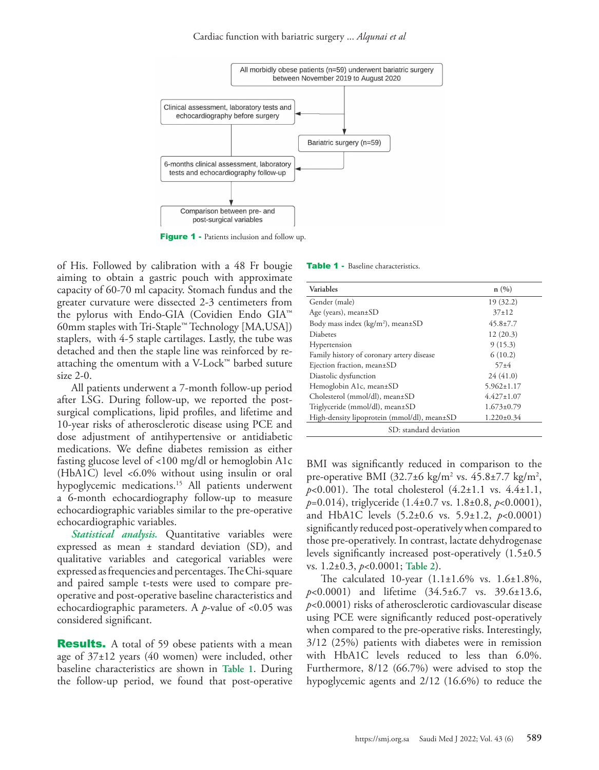

Figure 1 - Patients inclusion and follow up.

of His. Followed by calibration with a 48 Fr bougie aiming to obtain a gastric pouch with approximate capacity of 60-70 ml capacity. Stomach fundus and the greater curvature were dissected 2-3 centimeters from the pylorus with Endo-GIA (Covidien Endo GIA™ 60mm staples with Tri-Staple™ Technology [MA,USA]) staplers, with 4-5 staple cartilages. Lastly, the tube was detached and then the staple line was reinforced by reattaching the omentum with a V-Lock™ barbed suture size 2-0.

All patients underwent a 7-month follow-up period after LSG. During follow-up, we reported the postsurgical complications, lipid profiles, and lifetime and 10-year risks of atherosclerotic disease using PCE and dose adjustment of antihypertensive or antidiabetic medications. We define diabetes remission as either fasting glucose level of <100 mg/dl or hemoglobin A1c (HbA1C) level <6.0% without using insulin or oral hypoglycemic medications.<sup>[15](#page-4-14)</sup> All patients underwent a 6-month echocardiography follow-up to measure echocardiographic variables similar to the pre-operative echocardiographic variables.

*Statistical analysis.* Quantitative variables were expressed as mean ± standard deviation (SD), and qualitative variables and categorical variables were expressed as frequencies and percentages. The Chi-square and paired sample t-tests were used to compare preoperative and post-operative baseline characteristics and echocardiographic parameters. A *p*-value of <0.05 was considered significant.

**Results.** A total of 59 obese patients with a mean age of  $37\pm12$  years (40 women) were included, other baseline characteristics are shown in **Table 1**. During the follow-up period, we found that post-operative

|  |  |  |  |  |  |  |  | <b>Table 1</b> - Baseline characteristics. |  |  |
|--|--|--|--|--|--|--|--|--------------------------------------------|--|--|
|--|--|--|--|--|--|--|--|--------------------------------------------|--|--|

| Variables                                          | n(%)             |  |  |  |  |
|----------------------------------------------------|------------------|--|--|--|--|
| Gender (male)                                      | 19(32.2)         |  |  |  |  |
| Age (years), mean $\pm$ SD                         | $37+12$          |  |  |  |  |
| Body mass index ( $\text{kg/m}^2$ ), mean $\pm$ SD | $45.8 \pm 7.7$   |  |  |  |  |
| Diabetes                                           | 12(20.3)         |  |  |  |  |
| Hypertension                                       | 9(15.3)          |  |  |  |  |
| Family history of coronary artery disease          | 6(10.2)          |  |  |  |  |
| Ejection fraction, mean±SD                         | $57 + 4$         |  |  |  |  |
| Diastolic dysfunction                              | 24(41.0)         |  |  |  |  |
| Hemoglobin A1c, mean±SD                            | $5.962 \pm 1.17$ |  |  |  |  |
| Cholesterol (mmol/dl), mean±SD                     | $4.427 \pm 1.07$ |  |  |  |  |
| Triglyceride (mmol/dl), mean±SD                    | $1.673 \pm 0.79$ |  |  |  |  |
| High-density lipoprotein (mmol/dl), mean±SD        | $1.220 \pm 0.34$ |  |  |  |  |
| SD: standard deviation                             |                  |  |  |  |  |

BMI was significantly reduced in comparison to the pre-operative BMI  $(32.7 \pm 6 \text{ kg/m}^2 \text{ vs. } 45.8 \pm 7.7 \text{ kg/m}^2)$ , *p*<0.001). The total cholesterol (4.2±1.1 vs. 4.4±1.1, *p*=0.014), triglyceride (1.4±0.7 vs. 1.8±0.8, *p*<0.0001), and HbA1C levels (5.2±0.6 vs. 5.9±1.2, *p*<0.0001) significantly reduced post-operatively when compared to those pre-operatively. In contrast, lactate dehydrogenase levels significantly increased post-operatively (1.5±0.5 vs. 1.2±0.3, *p*<0.0001; **Table 2**).

The calculated 10-year (1.1±1.6% vs. 1.6±1.8%, *p*<0.0001) and lifetime (34.5±6.7 vs. 39.6±13.6, *p*<0.0001) risks of atherosclerotic cardiovascular disease using PCE were significantly reduced post-operatively when compared to the pre-operative risks. Interestingly, 3/12 (25%) patients with diabetes were in remission with HbA1C levels reduced to less than 6.0%. Furthermore, 8/12 (66.7%) were advised to stop the hypoglycemic agents and 2/12 (16.6%) to reduce the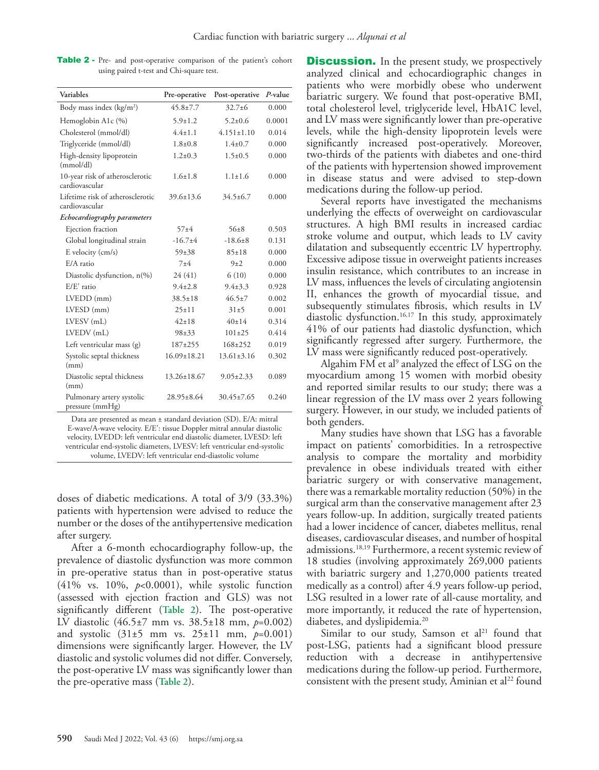| Variables                                          | Pre-operative     | Post-operative   | $P$ -value |
|----------------------------------------------------|-------------------|------------------|------------|
| Body mass index $(kg/m2)$                          | $45.8 \pm 7.7$    | $32.7 + 6$       | 0.000      |
| Hemoglobin A1c (%)                                 | $5.9 \pm 1.2$     | $5.2 + 0.6$      | 0.0001     |
| Cholesterol (mmol/dl)                              | $4.4 + 1.1$       | $4.151 \pm 1.10$ | 0.014      |
| Triglyceride (mmol/dl)                             | $1.8 + 0.8$       | $1.4 \pm 0.7$    | 0.000      |
| High-density lipoprotein<br>(mmol/dl)              | $1.2 \pm 0.3$     | $1.5 \pm 0.5$    | 0.000      |
| 10-year risk of atherosclerotic<br>cardiovascular  | $1.6+1.8$         | $1.1 \pm 1.6$    | 0.000      |
| Lifetime risk of atherosclerotic<br>cardiovascular | $39.6 + 13.6$     | $34.5 \pm 6.7$   | 0.000      |
| Echocardiography parameters                        |                   |                  |            |
| Ejection fraction                                  | $57 + 4$          | $56 + 8$         | 0.503      |
| Global longitudinal strain                         | $-16.7+4$         | $-18.6+8$        | 0.131      |
| E velocity (cm/s)                                  | $59 + 38$         | $85 \pm 18$      | 0.000      |
| E/A ratio                                          | $7 + 4$           | $9+2$            | 0.000      |
| Diastolic dysfunction, $n\frac{(\%)}{6}$           | 24 (41)           | 6(10)            | 0.000      |
| E/E' ratio                                         | $9.4 + 2.8$       | $9.4 + 3.3$      | 0.928      |
| $LVEDD$ (mm)                                       | $38.5 \pm 18$     | $46.5 \pm 7$     | 0.002      |
| $LVESD$ (mm)                                       | $25 \pm 11$       | $31\pm5$         | 0.001      |
| LVESV (mL)                                         | $42+18$           | $40+14$          | 0.314      |
| LVEDV (mL)                                         | $98 + 33$         | $101 \pm 25$     | 0.414      |
| Left ventricular mass (g)                          | 187±255           | $168 + 252$      | 0.019      |
| Systolic septal thickness<br>(mm)                  | $16.09 \pm 18.21$ | $13.61 \pm 3.16$ | 0.302      |
| Diastolic septal thickness<br>(mm)                 | $13.26 \pm 18.67$ | $9.05 \pm 2.33$  | 0.089      |
| Pulmonary artery systolic<br>pressure (mmHg)       | $28.95 \pm 8.64$  | $30.45 \pm 7.65$ | 0.240      |

Table 2 - Pre- and post-operative comparison of the patient's cohort using paired t-test and Chi-square test.

Data are presented as mean ± standard deviation (SD). E/A: mitral E-wave/A-wave velocity. E/E′: tissue Doppler mitral annular diastolic velocity, LVEDD: left ventricular end diastolic diameter, LVESD: left ventricular end-systolic diameters, LVESV: left ventricular end-systolic volume, LVEDV: left ventricular end-diastolic volume

doses of diabetic medications. A total of 3/9 (33.3%) patients with hypertension were advised to reduce the number or the doses of the antihypertensive medication after surgery.

After a 6-month echocardiography follow-up, the prevalence of diastolic dysfunction was more common in pre-operative status than in post-operative status (41% vs. 10%, *p*<0.0001), while systolic function (assessed with ejection fraction and GLS) was not significantly different (**Table 2**). The post-operative LV diastolic (46.5±7 mm vs. 38.5±18 mm, *p*=0.002) and systolic (31±5 mm vs. 25±11 mm, *p*=0.001) dimensions were significantly larger. However, the LV diastolic and systolic volumes did not differ. Conversely, the post-operative LV mass was significantly lower than the pre-operative mass (**Table 2**).

**Discussion.** In the present study, we prospectively analyzed clinical and echocardiographic changes in patients who were morbidly obese who underwent bariatric surgery. We found that post-operative BMI, total cholesterol level, triglyceride level, HbA1C level, and LV mass were significantly lower than pre-operative levels, while the high-density lipoprotein levels were significantly increased post-operatively. Moreover, two-thirds of the patients with diabetes and one-third of the patients with hypertension showed improvement in disease status and were advised to step-down medications during the follow-up period.

Several reports have investigated the mechanisms underlying the effects of overweight on cardiovascular structures. A high BMI results in increased cardiac stroke volume and output, which leads to LV cavity dilatation and subsequently eccentric LV hypertrophy. Excessive adipose tissue in overweight patients increases insulin resistance, which contributes to an increase in LV mass, influences the levels of circulating angiotensin II, enhances the growth of myocardial tissue, and subsequently stimulates fibrosis, which results in LV diastolic dysfunction.<sup>16,17</sup> In this study, approximately 41% of our patients had diastolic dysfunction, which significantly regressed after surgery. Furthermore, the LV mass were significantly reduced post-operatively.

Algahim FM et al<sup>9</sup> analyzed the effect of LSG on the myocardium among 15 women with morbid obesity and reported similar results to our study; there was a linear regression of the LV mass over 2 years following surgery. However, in our study, we included patients of both genders.

Many studies have shown that LSG has a favorable impact on patients' comorbidities. In a retrospective analysis to compare the mortality and morbidity prevalence in obese individuals treated with either bariatric surgery or with conservative management, there was a remarkable mortality reduction (50%) in the surgical arm than the conservative management after 23 years follow-up. In addition, surgically treated patients had a lower incidence of cancer, diabetes mellitus, renal diseases, cardiovascular diseases, and number of hospital admissions.[18](#page-4-17),[19](#page-4-18) Furthermore, a recent systemic review of 18 studies (involving approximately 269,000 patients with bariatric surgery and 1,270,000 patients treated medically as a control) after 4.9 years follow-up period, LSG resulted in a lower rate of all-cause mortality, and more importantly, it reduced the rate of hypertension, diabetes, and dyslipidemia.<sup>20</sup>

Similar to our study, Samson et al<sup>[21](#page-4-20)</sup> found that post-LSG, patients had a significant blood pressure reduction with a decrease in antihypertensive medications during the follow-up period. Furthermore, consistent with the present study, Aminian et al<sup>22</sup> found